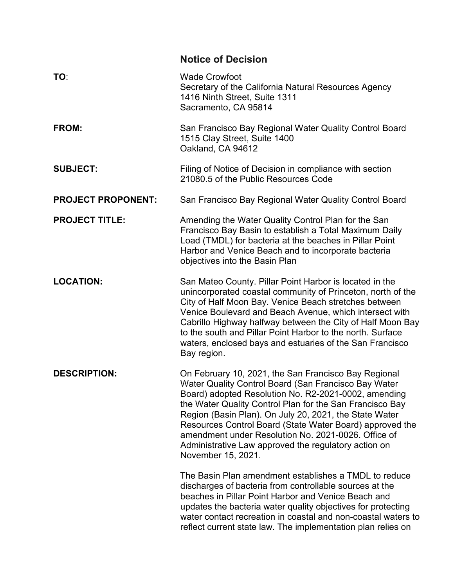|                           | <b>Notice of Decision</b>                                                                                                                                                                                                                                                                                                                                                                                                                                                                   |  |
|---------------------------|---------------------------------------------------------------------------------------------------------------------------------------------------------------------------------------------------------------------------------------------------------------------------------------------------------------------------------------------------------------------------------------------------------------------------------------------------------------------------------------------|--|
| TO:                       | <b>Wade Crowfoot</b><br>Secretary of the California Natural Resources Agency<br>1416 Ninth Street, Suite 1311<br>Sacramento, CA 95814                                                                                                                                                                                                                                                                                                                                                       |  |
| FROM:                     | San Francisco Bay Regional Water Quality Control Board<br>1515 Clay Street, Suite 1400<br>Oakland, CA 94612                                                                                                                                                                                                                                                                                                                                                                                 |  |
| <b>SUBJECT:</b>           | Filing of Notice of Decision in compliance with section<br>21080.5 of the Public Resources Code                                                                                                                                                                                                                                                                                                                                                                                             |  |
| <b>PROJECT PROPONENT:</b> | San Francisco Bay Regional Water Quality Control Board                                                                                                                                                                                                                                                                                                                                                                                                                                      |  |
| <b>PROJECT TITLE:</b>     | Amending the Water Quality Control Plan for the San<br>Francisco Bay Basin to establish a Total Maximum Daily<br>Load (TMDL) for bacteria at the beaches in Pillar Point<br>Harbor and Venice Beach and to incorporate bacteria<br>objectives into the Basin Plan                                                                                                                                                                                                                           |  |
| <b>LOCATION:</b>          | San Mateo County. Pillar Point Harbor is located in the<br>unincorporated coastal community of Princeton, north of the<br>City of Half Moon Bay. Venice Beach stretches between<br>Venice Boulevard and Beach Avenue, which intersect with<br>Cabrillo Highway halfway between the City of Half Moon Bay<br>to the south and Pillar Point Harbor to the north. Surface<br>waters, enclosed bays and estuaries of the San Francisco<br>Bay region.                                           |  |
| <b>DESCRIPTION:</b>       | On February 10, 2021, the San Francisco Bay Regional<br>Water Quality Control Board (San Francisco Bay Water<br>Board) adopted Resolution No. R2-2021-0002, amending<br>the Water Quality Control Plan for the San Francisco Bay<br>Region (Basin Plan). On July 20, 2021, the State Water<br>Resources Control Board (State Water Board) approved the<br>amendment under Resolution No. 2021-0026. Office of<br>Administrative Law approved the regulatory action on<br>November 15, 2021. |  |
|                           | The Basin Plan amendment establishes a TMDL to reduce<br>discharges of bacteria from controllable sources at the<br>beaches in Pillar Point Harbor and Venice Beach and<br>updates the bacteria water quality objectives for protecting<br>water contact recreation in coastal and non-coastal waters to<br>reflect current state law. The implementation plan relies on                                                                                                                    |  |